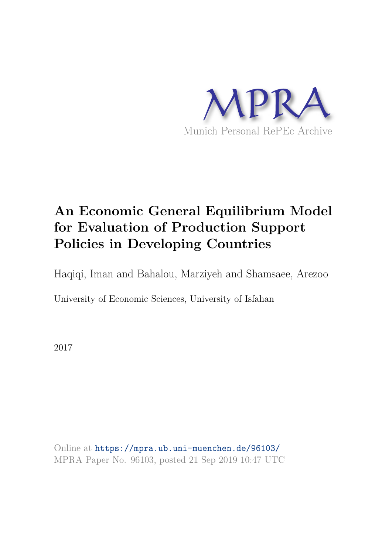

# **An Economic General Equilibrium Model for Evaluation of Production Support Policies in Developing Countries**

Haqiqi, Iman and Bahalou, Marziyeh and Shamsaee, Arezoo

University of Economic Sciences, University of Isfahan

2017

Online at https://mpra.ub.uni-muenchen.de/96103/ MPRA Paper No. 96103, posted 21 Sep 2019 10:47 UTC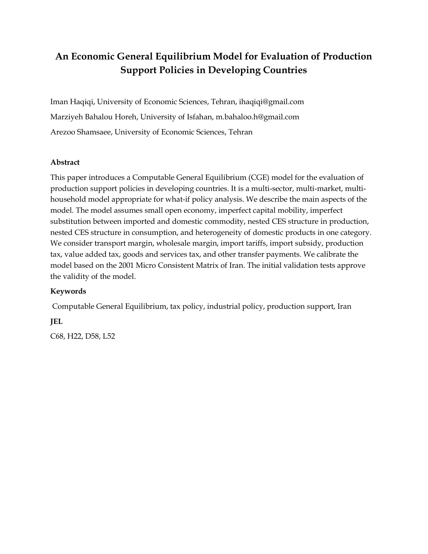## An Economic General Equilibrium Model for Evaluation of Production Support Policies in Developing Countries

Iman Haqiqi, University of Economic Sciences, Tehran, ihaqiqi@gmail.com Marziyeh Bahalou Horeh, University of Isfahan, m.bahaloo.h@gmail.com Arezoo Shamsaee, University of Economic Sciences, Tehran

## Abstract

This paper introduces a Computable General Equilibrium (CGE) model for the evaluation of production support policies in developing countries. It is a multi-sector, multi-market, multihousehold model appropriate for what-if policy analysis. We describe the main aspects of the model. The model assumes small open economy, imperfect capital mobility, imperfect substitution between imported and domestic commodity, nested CES structure in production, nested CES structure in consumption, and heterogeneity of domestic products in one category. We consider transport margin, wholesale margin, import tariffs, import subsidy, production tax, value added tax, goods and services tax, and other transfer payments. We calibrate the model based on the 2001 Micro Consistent Matrix of Iran. The initial validation tests approve the validity of the model.

## Keywords

Computable General Equilibrium, tax policy, industrial policy, production support, Iran

JEL

C68, H22, D58, L52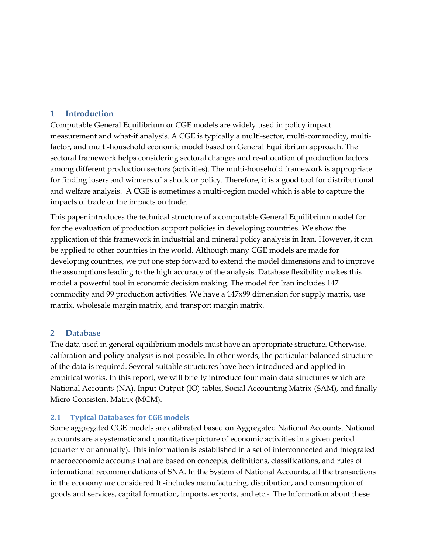## 1 Introduction

Computable General Equilibrium or CGE models are widely used in policy impact measurement and what-if analysis. A CGE is typically a multi-sector, multi-commodity, multifactor, and multi-household economic model based on General Equilibrium approach. The sectoral framework helps considering sectoral changes and re-allocation of production factors among different production sectors (activities). The multi-household framework is appropriate for finding losers and winners of a shock or policy. Therefore, it is a good tool for distributional and welfare analysis. A CGE is sometimes a multi-region model which is able to capture the impacts of trade or the impacts on trade.

This paper introduces the technical structure of a computable General Equilibrium model for for the evaluation of production support policies in developing countries. We show the application of this framework in industrial and mineral policy analysis in Iran. However, it can be applied to other countries in the world. Although many CGE models are made for developing countries, we put one step forward to extend the model dimensions and to improve the assumptions leading to the high accuracy of the analysis. Database flexibility makes this model a powerful tool in economic decision making. The model for Iran includes 147 commodity and 99 production activities. We have a 147x99 dimension for supply matrix, use matrix, wholesale margin matrix, and transport margin matrix.

## 2 Database

The data used in general equilibrium models must have an appropriate structure. Otherwise, calibration and policy analysis is not possible. In other words, the particular balanced structure of the data is required. Several suitable structures have been introduced and applied in empirical works. In this report, we will briefly introduce four main data structures which are National Accounts (NA), Input-Output (IO) tables, Social Accounting Matrix (SAM), and finally Micro Consistent Matrix (MCM).

## 2.1 Typical Databases for CGE models

Some aggregated CGE models are calibrated based on Aggregated National Accounts. National accounts are a systematic and quantitative picture of economic activities in a given period (quarterly or annually). This information is established in a set of interconnected and integrated macroeconomic accounts that are based on concepts, definitions, classifications, and rules of international recommendations of SNA. In the System of National Accounts, all the transactions in the economy are considered It -includes manufacturing, distribution, and consumption of goods and services, capital formation, imports, exports, and etc.-. The Information about these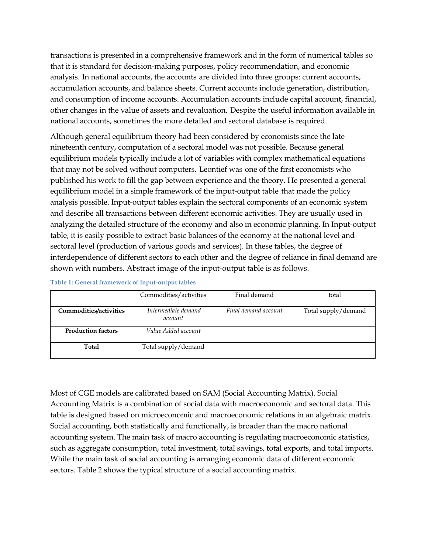transactions is presented in a comprehensive framework and in the form of numerical tables so that it is standard for decision-making purposes, policy recommendation, and economic analysis. In national accounts, the accounts are divided into three groups: current accounts, accumulation accounts, and balance sheets. Current accounts include generation, distribution, and consumption of income accounts. Accumulation accounts include capital account, financial, other changes in the value of assets and revaluation. Despite the useful information available in national accounts, sometimes the more detailed and sectoral database is required.

Although general equilibrium theory had been considered by economists since the late nineteenth century, computation of a sectoral model was not possible. Because general equilibrium models typically include a lot of variables with complex mathematical equations that may not be solved without computers. Leontief was one of the first economists who published his work to fill the gap between experience and the theory. He presented a general equilibrium model in a simple framework of the input-output table that made the policy analysis possible. Input-output tables explain the sectoral components of an economic system and describe all transactions between different economic activities. They are usually used in analyzing the detailed structure of the economy and also in economic planning. In Input-output table, it is easily possible to extract basic balances of the economy at the national level and sectoral level (production of various goods and services). In these tables, the degree of interdependence of different sectors to each other and the degree of reliance in final demand are shown with numbers. Abstract image of the input-output table is as follows.

| Table 1: General framework of input-output tables |  |
|---------------------------------------------------|--|
|---------------------------------------------------|--|

|                           | Commodities/activities         | Final demand         | total               |
|---------------------------|--------------------------------|----------------------|---------------------|
| Commodities/activities    | Intermediate demand<br>account | Final demand account | Total supply/demand |
| <b>Production factors</b> | Value Added account            |                      |                     |
| Total                     | Total supply/demand            |                      |                     |

Most of CGE models are calibrated based on SAM (Social Accounting Matrix). Social Accounting Matrix is a combination of social data with macroeconomic and sectoral data. This table is designed based on microeconomic and macroeconomic relations in an algebraic matrix. Social accounting, both statistically and functionally, is broader than the macro national accounting system. The main task of macro accounting is regulating macroeconomic statistics, such as aggregate consumption, total investment, total savings, total exports, and total imports. While the main task of social accounting is arranging economic data of different economic sectors. Table 2 shows the typical structure of a social accounting matrix.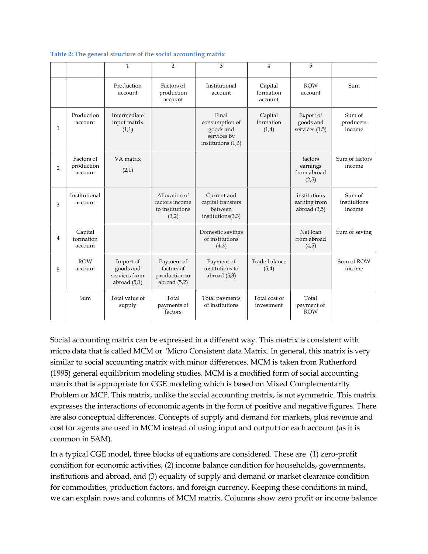|                |                                     | $\mathbf{1}$                                              | $\overline{2}$                                              | 3                                                                           | $\overline{4}$                  | 5                                              |                                  |
|----------------|-------------------------------------|-----------------------------------------------------------|-------------------------------------------------------------|-----------------------------------------------------------------------------|---------------------------------|------------------------------------------------|----------------------------------|
|                |                                     | Production<br>account                                     | Factors of<br>production<br>account                         | Institutional<br>account                                                    | Capital<br>formation<br>account | <b>ROW</b><br>account                          | Sum                              |
| 1              | Production<br>account               | Intermediate<br>input matrix<br>(1,1)                     |                                                             | Final<br>consumption of<br>goods and<br>services by<br>institutions $(1,3)$ | Capital<br>formation<br>(1,4)   | Export of<br>goods and<br>services $(1,5)$     | Sum of<br>producers<br>income    |
| 2              | Factors of<br>production<br>account | VA matrix<br>(2,1)                                        |                                                             |                                                                             |                                 | factors<br>earnings<br>from abroad<br>(2,5)    | Sum of factors<br>income         |
| 3              | Institutional<br>account            |                                                           | Allocation of<br>factors income<br>to institutions<br>(3,2) | Current and<br>capital transfers<br>between<br>institutions(3,3)            |                                 | institutions<br>earning from<br>abroad $(3,5)$ | Sum of<br>institutions<br>income |
| $\overline{4}$ | Capital<br>formation<br>account     |                                                           |                                                             | Domestic savings<br>of institutions<br>(4,3)                                |                                 | Net loan<br>from abroad<br>(4,5)               | Sum of saving                    |
| 5              | <b>ROW</b><br>account               | Import of<br>goods and<br>services from<br>abroad $(5,1)$ | Payment of<br>factors of<br>production to<br>abroad (5,2)   | Payment of<br>institutions to<br>abroad $(5,3)$                             | Trade balance<br>(5,4)          |                                                | Sum of ROW<br>income             |
|                | Sum                                 | Total value of<br>supply                                  | Total<br>payments of<br>factors                             | Total payments<br>of institutions                                           | Total cost of<br>investment     | Total<br>payment of<br><b>ROW</b>              |                                  |

#### Table 2: The general structure of the social accounting matrix

Social accounting matrix can be expressed in a different way. This matrix is consistent with micro data that is called MCM or "Micro Consistent data Matrix. In general, this matrix is very similar to social accounting matrix with minor differences. MCM is taken from Rutherford (1995) general equilibrium modeling studies. MCM is a modified form of social accounting matrix that is appropriate for CGE modeling which is based on Mixed Complementarity Problem or MCP. This matrix, unlike the social accounting matrix, is not symmetric. This matrix expresses the interactions of economic agents in the form of positive and negative figures. There are also conceptual differences. Concepts of supply and demand for markets, plus revenue and cost for agents are used in MCM instead of using input and output for each account (as it is common in SAM).

In a typical CGE model, three blocks of equations are considered. These are (1) zero-profit condition for economic activities, (2) income balance condition for households, governments, institutions and abroad, and (3) equality of supply and demand or market clearance condition for commodities, production factors, and foreign currency. Keeping these conditions in mind, we can explain rows and columns of MCM matrix. Columns show zero profit or income balance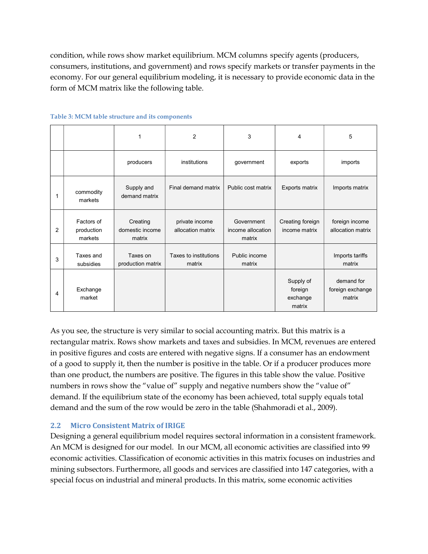condition, while rows show market equilibrium. MCM columns specify agents (producers, consumers, institutions, and government) and rows specify markets or transfer payments in the economy. For our general equilibrium modeling, it is necessary to provide economic data in the form of MCM matrix like the following table.

|   |                                     | 1                                     | $\overline{2}$                      | 3                                         | 4                                          | 5                                        |
|---|-------------------------------------|---------------------------------------|-------------------------------------|-------------------------------------------|--------------------------------------------|------------------------------------------|
|   |                                     | producers                             | institutions                        | government                                | exports                                    | imports                                  |
| 1 | commodity<br>markets                | Supply and<br>demand matrix           | Final demand matrix                 | Public cost matrix                        | Exports matrix                             | Imports matrix                           |
| 2 | Factors of<br>production<br>markets | Creating<br>domestic income<br>matrix | private income<br>allocation matrix | Government<br>income allocation<br>matrix | Creating foreign<br>income matrix          | foreign income<br>allocation matrix      |
| 3 | Taxes and<br>subsidies              | Taxes on<br>production matrix         | Taxes to institutions<br>matrix     | Public income<br>matrix                   |                                            | Imports tariffs<br>matrix                |
| 4 | Exchange<br>market                  |                                       |                                     |                                           | Supply of<br>foreign<br>exchange<br>matrix | demand for<br>foreign exchange<br>matrix |

Table 3: MCM table structure and its components

As you see, the structure is very similar to social accounting matrix. But this matrix is a rectangular matrix. Rows show markets and taxes and subsidies. In MCM, revenues are entered in positive figures and costs are entered with negative signs. If a consumer has an endowment of a good to supply it, then the number is positive in the table. Or if a producer produces more than one product, the numbers are positive. The figures in this table show the value. Positive numbers in rows show the "value of" supply and negative numbers show the "value of" demand. If the equilibrium state of the economy has been achieved, total supply equals total demand and the sum of the row would be zero in the table (Shahmoradi et al., 2009).

## 2.2 Micro Consistent Matrix of IRIGE

Designing a general equilibrium model requires sectoral information in a consistent framework. An MCM is designed for our model. In our MCM, all economic activities are classified into 99 economic activities. Classification of economic activities in this matrix focuses on industries and mining subsectors. Furthermore, all goods and services are classified into 147 categories, with a special focus on industrial and mineral products. In this matrix, some economic activities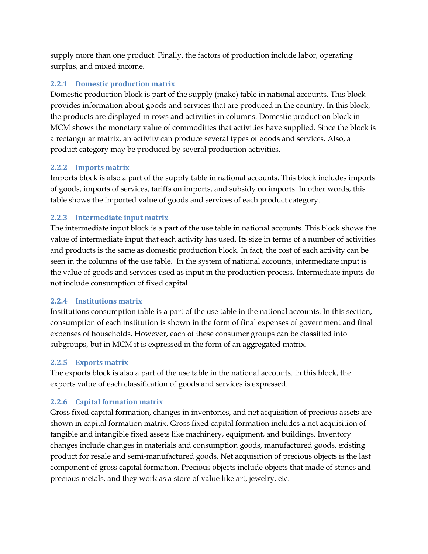supply more than one product. Finally, the factors of production include labor, operating surplus, and mixed income.

## 2.2.1 Domestic production matrix

Domestic production block is part of the supply (make) table in national accounts. This block provides information about goods and services that are produced in the country. In this block, the products are displayed in rows and activities in columns. Domestic production block in MCM shows the monetary value of commodities that activities have supplied. Since the block is a rectangular matrix, an activity can produce several types of goods and services. Also, a product category may be produced by several production activities.

## 2.2.2 Imports matrix

Imports block is also a part of the supply table in national accounts. This block includes imports of goods, imports of services, tariffs on imports, and subsidy on imports. In other words, this table shows the imported value of goods and services of each product category.

## 2.2.3 Intermediate input matrix

The intermediate input block is a part of the use table in national accounts. This block shows the value of intermediate input that each activity has used. Its size in terms of a number of activities and products is the same as domestic production block. In fact, the cost of each activity can be seen in the columns of the use table. In the system of national accounts, intermediate input is the value of goods and services used as input in the production process. Intermediate inputs do not include consumption of fixed capital.

## 2.2.4 Institutions matrix

Institutions consumption table is a part of the use table in the national accounts. In this section, consumption of each institution is shown in the form of final expenses of government and final expenses of households. However, each of these consumer groups can be classified into subgroups, but in MCM it is expressed in the form of an aggregated matrix.

## 2.2.5 Exports matrix

The exports block is also a part of the use table in the national accounts. In this block, the exports value of each classification of goods and services is expressed.

## 2.2.6 Capital formation matrix

Gross fixed capital formation, changes in inventories, and net acquisition of precious assets are shown in capital formation matrix. Gross fixed capital formation includes a net acquisition of tangible and intangible fixed assets like machinery, equipment, and buildings. Inventory changes include changes in materials and consumption goods, manufactured goods, existing product for resale and semi-manufactured goods. Net acquisition of precious objects is the last component of gross capital formation. Precious objects include objects that made of stones and precious metals, and they work as a store of value like art, jewelry, etc.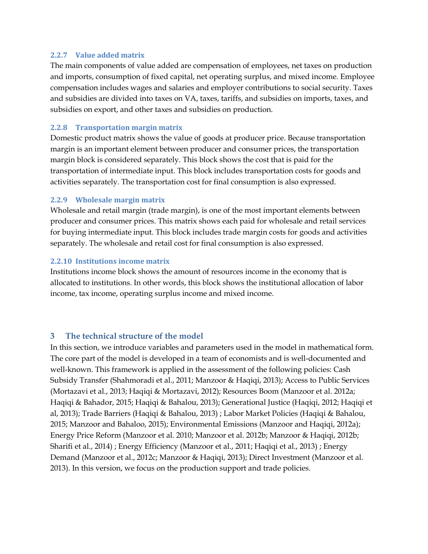#### 2.2.7 Value added matrix

The main components of value added are compensation of employees, net taxes on production and imports, consumption of fixed capital, net operating surplus, and mixed income. Employee compensation includes wages and salaries and employer contributions to social security. Taxes and subsidies are divided into taxes on VA, taxes, tariffs, and subsidies on imports, taxes, and subsidies on export, and other taxes and subsidies on production.

#### 2.2.8 Transportation margin matrix

Domestic product matrix shows the value of goods at producer price. Because transportation margin is an important element between producer and consumer prices, the transportation margin block is considered separately. This block shows the cost that is paid for the transportation of intermediate input. This block includes transportation costs for goods and activities separately. The transportation cost for final consumption is also expressed.

#### 2.2.9 Wholesale margin matrix

Wholesale and retail margin (trade margin), is one of the most important elements between producer and consumer prices. This matrix shows each paid for wholesale and retail services for buying intermediate input. This block includes trade margin costs for goods and activities separately. The wholesale and retail cost for final consumption is also expressed.

#### 2.2.10 Institutions income matrix

Institutions income block shows the amount of resources income in the economy that is allocated to institutions. In other words, this block shows the institutional allocation of labor income, tax income, operating surplus income and mixed income.

## 3 The technical structure of the model

In this section, we introduce variables and parameters used in the model in mathematical form. The core part of the model is developed in a team of economists and is well-documented and well-known. This framework is applied in the assessment of the following policies: Cash Subsidy Transfer (Shahmoradi et al., 2011; Manzoor & Haqiqi, 2013); Access to Public Services (Mortazavi et al., 2013; Haqiqi & Mortazavi, 2012); Resources Boom (Manzoor et al. 2012a; Haqiqi & Bahador, 2015; Haqiqi & Bahalou, 2013); Generational Justice (Haqiqi, 2012; Haqiqi et al, 2013); Trade Barriers (Haqiqi & Bahalou, 2013) ; Labor Market Policies (Haqiqi & Bahalou, 2015; Manzoor and Bahaloo, 2015); Environmental Emissions (Manzoor and Haqiqi, 2012a); Energy Price Reform (Manzoor et al. 2010; Manzoor et al. 2012b; Manzoor & Haqiqi, 2012b; Sharifi et al., 2014) ; Energy Efficiency (Manzoor et al., 2011; Haqiqi et al., 2013) ; Energy Demand (Manzoor et al., 2012c; Manzoor & Haqiqi, 2013); Direct Investment (Manzoor et al. 2013). In this version, we focus on the production support and trade policies.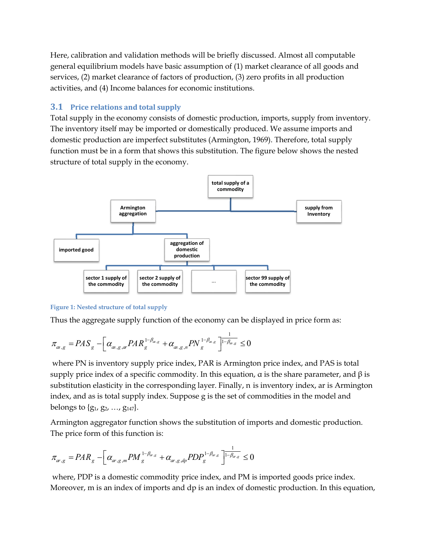Here, calibration and validation methods will be briefly discussed. Almost all computable general equilibrium models have basic assumption of (1) market clearance of all goods and services, (2) market clearance of factors of production, (3) zero profits in all production activities, and (4) Income balances for economic institutions.

## 3.1 Price relations and total supply

Total supply in the economy consists of domestic production, imports, supply from inventory. The inventory itself may be imported or domestically produced. We assume imports and domestic production are imperfect substitutes (Armington, 1969). Therefore, total supply function must be in a form that shows this substitution. The figure below shows the nested structure of total supply in the economy.



#### Figure 1: Nested structure of total supply

Thus the aggregate supply function of the economy can be displayed in price form as:

$$
\pi_{\alpha s,g} = PAS_g - \left[\alpha_{\alpha s,g,\alpha P} A R_g^{1-\beta_{\alpha g}} + \alpha_{\alpha s,g,n} P N_g^{1-\beta_{\alpha g}}\right]_{1-\beta_{\alpha g}}^{1} \leq 0
$$

 where PN is inventory supply price index, PAR is Armington price index, and PAS is total supply price index of a specific commodity. In this equation,  $\alpha$  is the share parameter, and  $\beta$  is substitution elasticity in the corresponding layer. Finally, n is inventory index, ar is Armington index, and as is total supply index. Suppose g is the set of commodities in the model and belongs to  $\{g_1, g_2, ..., g_{147}\}.$ 

Armington aggregator function shows the substitution of imports and domestic production. The price form of this function is:

$$
\pi_{a^r,g} = P A R_g - \left[ \alpha_{a^r,g,m} P M_g^{1-\beta_{a^r,g}} + \alpha_{a^r,g,dp} P D P_g^{1-\beta_{a^r,g}} \right]_{1-\beta_{a^r,g}}^{1} \leq 0
$$

 where, PDP is a domestic commodity price index, and PM is imported goods price index. Moreover, m is an index of imports and dp is an index of domestic production. In this equation,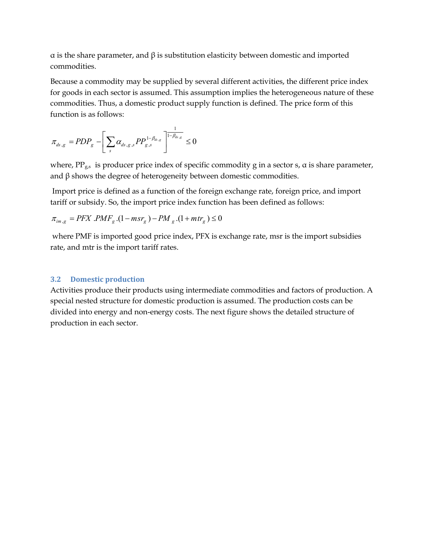α is the share parameter, and β is substitution elasticity between domestic and imported commodities.

Because a commodity may be supplied by several different activities, the different price index for goods in each sector is assumed. This assumption implies the heterogeneous nature of these commodities. Thus, a domestic product supply function is defined. The price form of this function is as follows:

$$
\pi_{ds,g} = PDP_g - \left[ \sum_s \alpha_{ds,g,s} PP_{g,s}^{1-\beta_{ds,g}} \right]^{1-\beta_{ds,g}} \leq 0
$$

where,  $PP_{g,s}$  is producer price index of specific commodity g in a sector s,  $\alpha$  is share parameter, and  $\beta$  shows the degree of heterogeneity between domestic commodities.

 Import price is defined as a function of the foreign exchange rate, foreign price, and import tariff or subsidy. So, the import price index function has been defined as follows:

$$
\pi_{im,g} = PFX.PMF_g.(1 - msr_g) - PM_g.(1 + mtr_g) \le 0
$$

 where PMF is imported good price index, PFX is exchange rate, msr is the import subsidies rate, and mtr is the import tariff rates.

## 3.2 Domestic production

Activities produce their products using intermediate commodities and factors of production. A special nested structure for domestic production is assumed. The production costs can be divided into energy and non-energy costs. The next figure shows the detailed structure of production in each sector.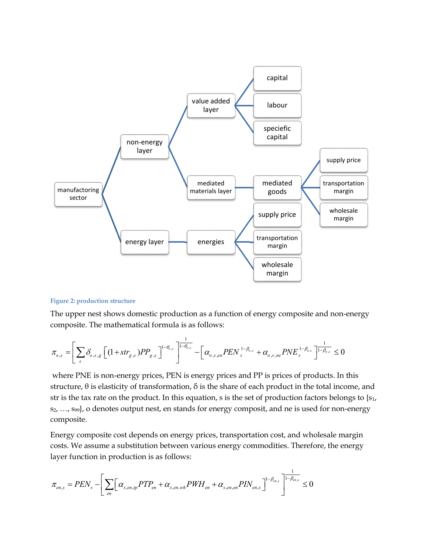

#### Figure 2: production structure

The upper nest shows domestic production as a function of energy composite and non-energy composite. The mathematical formula is as follows:

$$
\pi_{o,s} = \left[ \sum_{s} \delta_{o,s,g} \left[ (1 + str_{g,s}) PP_{g,s} \right]^{1-\theta_{o,s}} \right]^{1-\theta_{o,s}} - \left[ \alpha_{o,s,en} PEN \, s^{1-\theta_{o,s}} + \alpha_{o,s,ne} PNE \, s^{1-\theta_{o,s}} \right]^{1-\theta_{o,s}} \leq 0
$$

 where PNE is non-energy prices, PEN is energy prices and PP is prices of products. In this structure,  $\theta$  is elasticity of transformation,  $\delta$  is the share of each product in the total income, and str is the tax rate on the product. In this equation, s is the set of production factors belongs to  $\{s_1,$  $s_2$ , ...,  $s_99$ , o denotes output nest, en stands for energy composit, and ne is used for non-energy composite.

Energy composite cost depends on energy prices, transportation cost, and wholesale margin costs. We assume a substitution between various energy commodities. Therefore, the energy layer function in production is as follows:

$$
\pi_{en,s} = PEN_s - \left[ \sum_{en} \left[ \alpha_{s,en,tp} PTP_{en} + \alpha_{s,en,wh} PWH_{en} + \alpha_{s,en,en} PIN_{en,s} \right]^{1-\beta_{en,s}} \right]^{1-\beta_{en,s}} \le 0
$$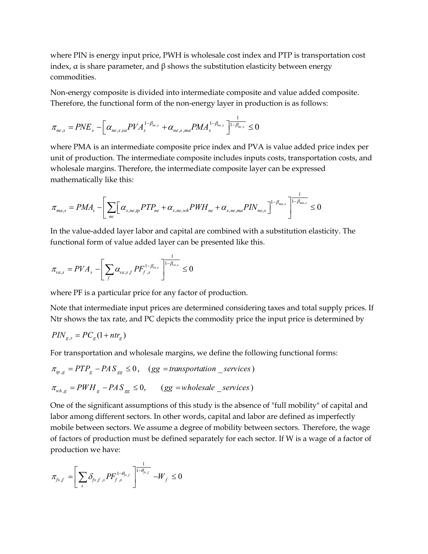where PIN is energy input price, PWH is wholesale cost index and PTP is transportation cost index,  $\alpha$  is share parameter, and  $\beta$  shows the substitution elasticity between energy commodities.

Non-energy composite is divided into intermediate composite and value added composite. Therefore, the functional form of the non-energy layer in production is as follows:

$$
\pi_{ne,s} = PNE_s - \left[\alpha_{ne,s,s} PVA_s^{1-\beta_{ne,s}} + \alpha_{ne,s,ma} PMA_s^{1-\beta_{ne,s}}\right]_{1-\beta_{ne,s}}^{1} \le 0
$$

where PMA is an intermediate composite price index and PVA is value added price index per unit of production. The intermediate composite includes inputs costs, transportation costs, and wholesale margins. Therefore, the intermediate composite layer can be expressed mathematically like this:

$$
\pi_{\scriptscriptstyle ma,s} = PMA_s - \left[ \sum_{\scriptscriptstyle ne} \left[ \alpha_{\scriptscriptstyle s,\scriptscriptstyle ne,\scriptscriptstyle tp} PTP_{\scriptscriptstyle ne} + \alpha_{\scriptscriptstyle s,\scriptscriptstyle ne,\scriptscriptstyle wh} PWH_{\scriptscriptstyle ne} + \alpha_{\scriptscriptstyle s,\scriptscriptstyle ne,\scriptscriptstyle ma} PIN_{\scriptscriptstyle ne,s} \right]^{1-\beta_{\scriptscriptstyle ma,s}} \right]^{1-\beta_{\scriptscriptstyle ma,s}} \leq 0
$$

In the value-added layer labor and capital are combined with a substitution elasticity. The functional form of value added layer can be presented like this.

$$
\pi_{\nu a,s} = PVA_s - \left[ \sum_{f} \alpha_{\nu a,s,f} P F_{f,s}^{1-\beta_{\nu a,s}} \right]^{\frac{1}{1-\beta_{\nu a,s}}} \le 0
$$

where PF is a particular price for any factor of production.

Note that intermediate input prices are determined considering taxes and total supply prices. If Ntr shows the tax rate, and PC depicts the commodity price the input price is determined by

$$
PIN_{g,s} = PC_g(1 + ntr_g)
$$

For transportation and wholesale margins, we define the following functional forms:

$$
\pi_{\psi, g} = PTP_g - PAS_{gg} \le 0, \quad (gg = transformation\_serves)
$$
  

$$
\pi_{wh, g} = PWH_g - PAS_{gg} \le 0, \quad (gg = whole sale\_services)
$$

One of the significant assumptions of this study is the absence of "full mobility" of capital and labor among different sectors. In other words, capital and labor are defined as imperfectly mobile between sectors. We assume a degree of mobility between sectors. Therefore, the wage of factors of production must be defined separately for each sector. If W is a wage of a factor of production we have:

$$
\pi_{f s, f} = \left[ \sum_s \delta_{f s, f, s} P F_{f, s}^{1 - \theta_{f s, f}} \right]^{1 - \theta_{f s, f}} - W_f \leq 0
$$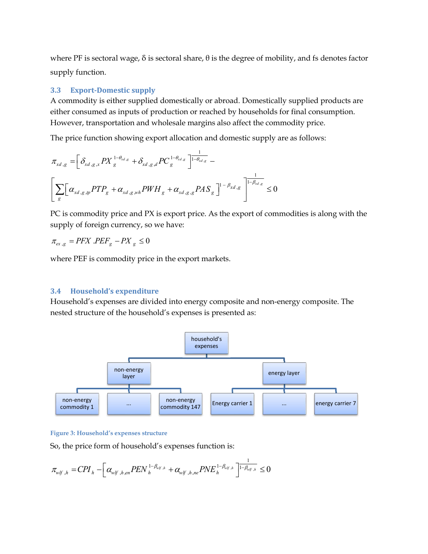where PF is sectoral wage, δ is sectoral share,  $θ$  is the degree of mobility, and fs denotes factor supply function.

#### 3.3 Export-Domestic supply

A commodity is either supplied domestically or abroad. Domestically supplied products are either consumed as inputs of production or reached by households for final consumption. However, transportation and wholesale margins also affect the commodity price.

The price function showing export allocation and domestic supply are as follows:

$$
\pi_{xd,g} = \left[ \delta_{xd,g,x} P X \Big|_{g}^{1-\theta_{xd,g}} + \delta_{xd,g,d} P C \Big|_{g}^{1-\theta_{xd,g}} \right]_{1-\theta_{xd,g}}^{1} - \left[ \sum_{g} \left[ \alpha_{xd,g,p} P T P_g + \alpha_{xd,g,m} P W H \Big|_{g} + \alpha_{xd,g,g} P A S \Big|_{g} \right]_{1-\theta_{xd,g}}^{1} \right]_{1-\theta_{xd,g}}^{1} \leq 0
$$

PC is commodity price and PX is export price. As the export of commodities is along with the supply of foreign currency, so we have:

$$
\pi_{ex,g} = PFX \cdot PEF_g - PX_g \le 0
$$

where PEF is commodity price in the export markets.

#### 3.4 Household's expenditure

Household's expenses are divided into energy composite and non-energy composite. The nested structure of the household's expenses is presented as:



#### Figure 3: Household's expenses structure

So, the price form of household's expenses function is:

$$
\pi_{wlf,h} = CPI_h - \left[\alpha_{wlf,h,en} PEN_h^{1-\beta_{wlf,h}} + \alpha_{wlf,h,n} PNE_h^{1-\beta_{wlf,h}}\right]_{1-\beta_{wlf,h}}^{1-\beta_{wlf,h}} \leq 0
$$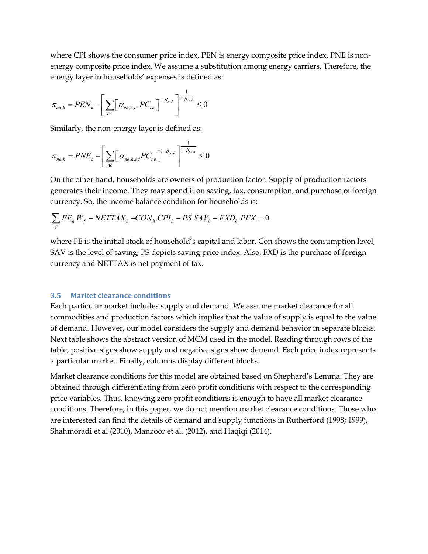where CPI shows the consumer price index, PEN is energy composite price index, PNE is nonenergy composite price index. We assume a substitution among energy carriers. Therefore, the energy layer in households' expenses is defined as:

$$
\pi_{en,h} = PEN_h - \left[\sum_{en} \left[\alpha_{en,h,en} PC_{en}\right]^{1-\beta_{en,h}}\right]^{-\frac{1}{1-\beta_{en,h}}} \le 0
$$

Similarly, the non-energy layer is defined as:

$$
\pi_{ne,h} = PNE_h - \left[ \sum_{ne} \left[ \alpha_{ne,h,ne} PC_{ne} \right]^{1-\beta_{ne,h}} \right]^{1-\beta_{ne,h}} \le 0
$$

On the other hand, households are owners of production factor. Supply of production factors generates their income. They may spend it on saving, tax, consumption, and purchase of foreign currency. So, the income balance condition for households is:

$$
\sum_{f} FE_h.W_f - NETTAX_h - CON_h.CPI_h - PS.SAV_h - FXD_h.PFX = 0
$$

where FE is the initial stock of household's capital and labor, Con shows the consumption level, SAV is the level of saving, PS depicts saving price index. Also, FXD is the purchase of foreign currency and NETTAX is net payment of tax.

#### 3.5 Market clearance conditions

Each particular market includes supply and demand. We assume market clearance for all commodities and production factors which implies that the value of supply is equal to the value of demand. However, our model considers the supply and demand behavior in separate blocks. Next table shows the abstract version of MCM used in the model. Reading through rows of the table, positive signs show supply and negative signs show demand. Each price index represents a particular market. Finally, columns display different blocks.

Market clearance conditions for this model are obtained based on Shephard's Lemma. They are obtained through differentiating from zero profit conditions with respect to the corresponding price variables. Thus, knowing zero profit conditions is enough to have all market clearance conditions. Therefore, in this paper, we do not mention market clearance conditions. Those who are interested can find the details of demand and supply functions in Rutherford (1998; 1999), Shahmoradi et al (2010), Manzoor et al. (2012), and Haqiqi (2014).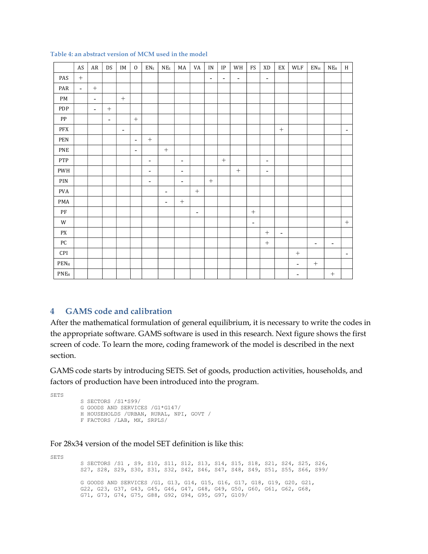|                      | $\mathbf{A}\mathbf{S}$ | $\rm{AR}$                | $\mathop{\rm DS}$        | $\mathop{\text{IM}}\nolimits$ | $\boldsymbol{0}$ | $\mathbf{EN}_{S}$            | $\mathrm{NE}_\mathrm{S}$ | $\sf MA$                 | VA                           | IN             | $_{\rm IP}$    | WH                       | $\mathop{\text{FS}}$ | $\mathbf{X}\mathbf{D}$       | $\mathop{\rm EX}\nolimits$ | WLF                      | $\mathrm{EN}_{\mathrm{H}}$ | $NE_{\rm H}$             | $\, {\rm H}$             |
|----------------------|------------------------|--------------------------|--------------------------|-------------------------------|------------------|------------------------------|--------------------------|--------------------------|------------------------------|----------------|----------------|--------------------------|----------------------|------------------------------|----------------------------|--------------------------|----------------------------|--------------------------|--------------------------|
| PAS                  | $^{+}$                 |                          |                          |                               |                  |                              |                          |                          |                              | $\blacksquare$ | $\blacksquare$ | $\overline{\phantom{a}}$ |                      | $\qquad \qquad \blacksquare$ |                            |                          |                            |                          |                          |
| PAR                  | $\blacksquare$         | $^{+}$                   |                          |                               |                  |                              |                          |                          |                              |                |                |                          |                      |                              |                            |                          |                            |                          |                          |
| $\mathsf{PM}$        |                        | $\overline{\phantom{a}}$ |                          | $^{+}$                        |                  |                              |                          |                          |                              |                |                |                          |                      |                              |                            |                          |                            |                          |                          |
| PDP                  |                        | $\blacksquare$           | $^{+}$                   |                               |                  |                              |                          |                          |                              |                |                |                          |                      |                              |                            |                          |                            |                          |                          |
| ${\bf PP}$           |                        |                          | $\overline{\phantom{a}}$ |                               | $+$              |                              |                          |                          |                              |                |                |                          |                      |                              |                            |                          |                            |                          |                          |
| PFX                  |                        |                          |                          | $\blacksquare$                |                  |                              |                          |                          |                              |                |                |                          |                      |                              | $+$                        |                          |                            |                          | $\overline{\phantom{a}}$ |
| PEN                  |                        |                          |                          |                               | $\blacksquare$   | $+$                          |                          |                          |                              |                |                |                          |                      |                              |                            |                          |                            |                          |                          |
| PNE                  |                        |                          |                          |                               | $\blacksquare$   |                              | $^{+}$                   |                          |                              |                |                |                          |                      |                              |                            |                          |                            |                          |                          |
| PTP                  |                        |                          |                          |                               |                  | $\qquad \qquad \blacksquare$ |                          | $\overline{\phantom{a}}$ |                              |                | $+$            |                          |                      | $\overline{\phantom{a}}$     |                            |                          |                            |                          |                          |
| PWH                  |                        |                          |                          |                               |                  | $\overline{\phantom{a}}$     |                          | $\blacksquare$           |                              |                |                | $\! + \!\!\!\!$          |                      | $\qquad \qquad \blacksquare$ |                            |                          |                            |                          |                          |
| $\rm PIN$            |                        |                          |                          |                               |                  | $\overline{\phantom{0}}$     |                          | $\overline{\phantom{a}}$ |                              | $+$            |                |                          |                      |                              |                            |                          |                            |                          |                          |
| PVA                  |                        |                          |                          |                               |                  |                              | $\overline{\phantom{a}}$ |                          | $^{+}$                       |                |                |                          |                      |                              |                            |                          |                            |                          |                          |
| PMA                  |                        |                          |                          |                               |                  |                              | $\overline{\phantom{a}}$ |                          |                              |                |                |                          |                      |                              |                            |                          |                            |                          |                          |
| $\rm PF$             |                        |                          |                          |                               |                  |                              |                          |                          | $\qquad \qquad \blacksquare$ |                |                |                          | $^{+}$               |                              |                            |                          |                            |                          |                          |
| W                    |                        |                          |                          |                               |                  |                              |                          |                          |                              |                |                |                          | $\blacksquare$       |                              |                            |                          |                            |                          | $\boldsymbol{+}$         |
| ${\bf P}{\bf X}$     |                        |                          |                          |                               |                  |                              |                          |                          |                              |                |                |                          |                      | $^{+}$                       | $\blacksquare$             |                          |                            |                          |                          |
| ${\sf PC}$           |                        |                          |                          |                               |                  |                              |                          |                          |                              |                |                |                          |                      | $\boldsymbol{+}$             |                            |                          | $\overline{\phantom{a}}$   | $\overline{\phantom{a}}$ |                          |
| $\mathsf{CPI}$       |                        |                          |                          |                               |                  |                              |                          |                          |                              |                |                |                          |                      |                              |                            | $+$                      |                            |                          | $\blacksquare$           |
| $\text{PEN}_{\rm H}$ |                        |                          |                          |                               |                  |                              |                          |                          |                              |                |                |                          |                      |                              |                            | $\blacksquare$           | $\! + \!\!\!\!$            |                          |                          |
| $\text{PNE}_{\rm H}$ |                        |                          |                          |                               |                  |                              |                          |                          |                              |                |                |                          |                      |                              |                            | $\overline{\phantom{a}}$ |                            | $\! + \!\!\!\!$          |                          |

#### Table 4: an abstract version of MCM used in the model

## 4 GAMS code and calibration

After the mathematical formulation of general equilibrium, it is necessary to write the codes in the appropriate software. GAMS software is used in this research. Next figure shows the first screen of code. To learn the more, coding framework of the model is described in the next section.

GAMS code starts by introducing SETS. Set of goods, production activities, households, and factors of production have been introduced into the program.

SETS

```
 S SECTORS /S1*S99/ 
 G GOODS AND SERVICES /G1*G147/ 
 H HOUSEHOLDS /URBAN, RURAL, NPI, GOVT / 
 F FACTORS /LAB, MX, SRPLS/
```
#### For 28x34 version of the model SET definition is like this:

```
SETS 
         S SECTORS /S1 , S9, S10, S11, S12, S13, S14, S15, S18, S21, S24, S25, S26, 
         S27, S28, S29, S30, S31, S32, S42, S46, S47, S48, S49, S51, S55, S66, S99/ 
         G GOODS AND SERVICES /G1, G13, G14, G15, G16, G17, G18, G19, G20, G21, 
 G22, G23, G37, G43, G45, G46, G47, G48, G49, G50, G60, G61, G62, G68, 
 G71, G73, G74, G75, G88, G92, G94, G95, G97, G109/
```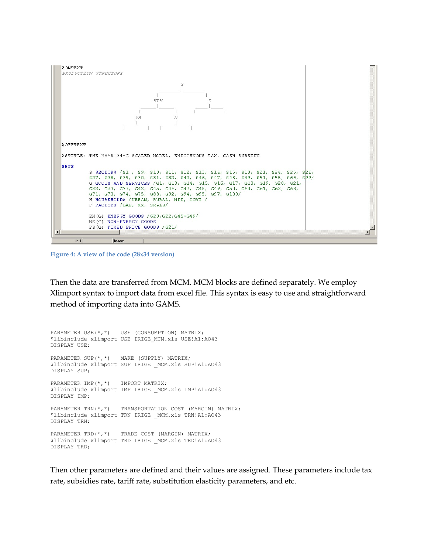

Figure 4: A view of the code (28x34 version)

Then the data are transferred from MCM. MCM blocks are defined separately. We employ Xlimport syntax to import data from excel file. This syntax is easy to use and straightforward method of importing data into GAMS.

```
PARAMETER USE(*,*) USE (CONSUMPTION) MATRIX; 
$libinclude xlimport USE IRIGE_MCM.xls USE!A1:AO43 
DISPLAY USE; 
PARAMETER SUP(*,*) MAKE (SUPPLY) MATRIX;
$libinclude xlimport SUP IRIGE _ MCM.xls SUP!A1:A043
DISPLAY SUP; 
PARAMETER IMP(*,*) IMPORT MATRIX;
$libinclude xlimport IMP IRIGE _MCM.xls IMP!A1:A043
DISPLAY IMP; 
PARAMETER TRN(*,*) TRANSPORTATION COST (MARGIN) MATRIX; 
$libinclude xlimport TRN IRIGE _MCM.xls TRN!A1:AO43
DISPLAY TRN; 
PARAMETER TRD(*,*) TRADE COST (MARGIN) MATRIX; 
$libinclude xlimport TRD IRIGE _MCM.xls TRD!A1:AO43
DISPLAY TRD;
```
Then other parameters are defined and their values are assigned. These parameters include tax rate, subsidies rate, tariff rate, substitution elasticity parameters, and etc.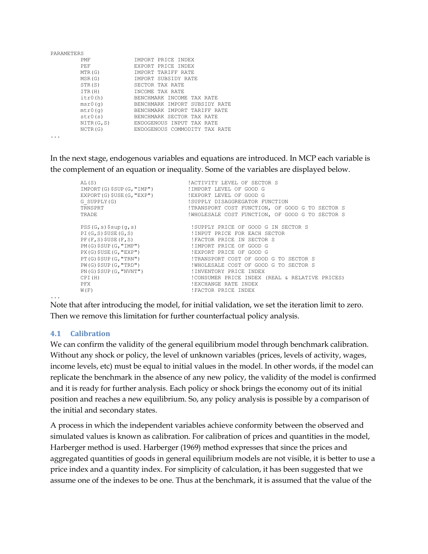| PARAMETERS |                               |
|------------|-------------------------------|
| PMF        | <b>IMPORT PRICE INDEX</b>     |
| PEF        | EXPORT PRICE INDEX            |
| MTR(G)     | <b>IMPORT TARIFF RATE</b>     |
| MSR(G)     | <b>IMPORT SUBSIDY RATE</b>    |
| STR(S)     | SECTOR TAX RATE               |
| ITR(H)     | <b><i>INCOME TAX RATE</i></b> |
| itr0(h)    | BENCHMARK INCOME TAX RATE     |
| msr0(q)    | BENCHMARK IMPORT SUBSIDY RATE |
| mtr(0)     | BENCHMARK IMPORT TARIFF RATE  |
| str0(s)    | BENCHMARK SECTOR TAX RATE     |
| NITR(G,S)  | ENDOGENOUS INPUT TAX RATE     |
| NCTR(G)    | ENDOGENOUS COMMODITY TAX RATE |
|            |                               |

In the next stage, endogenous variables and equations are introduced. In MCP each variable is the complement of an equation or inequality. Some of the variables are displayed below.

```
 AL(S) !ACTIVITY LEVEL OF SECTOR S 
 IMPORT(G)$SUP(G,"IMP") !IMPORT LEVEL OF GOOD G 
 EXPORT(G)$USE(G,"EXP") !EXPORT LEVEL OF GOOD G 
 G_SUPPLY(G) !SUPPLY DISAGGREGATOR FUNCTION 
      TRNSPRT TRANSPORT COST FUNCTION, OF GOOD G TO SECTOR S<br>
TRADE TRADE
                                ! WHOLESALE COST FUNCTION, OF GOOD G TO SECTOR S
       PSS(G,s)$sup(g,s) !SUPPLY PRICE OF GOOD G IN SECTOR S 
      PI(G,S)$USE(G,S) P(F, S)$USE(G,S) !INPUT PRICE FOR EACH SECTOR<br>PF(F,S)$USE(F,S) !FACTOR PRICE IN SECTOR S
PF(F,S)$USE(F,S) | FACTOR PRICE IN SECTOR S
 PM(G)$SUP(G,"IMP") !IMPORT PRICE OF GOOD G 
 PX(G)$USE(G,"EXP") !EXPORT PRICE OF GOOD G 
 PT(G)$SUP(G,"TRN") !TRANSPORT COST OF GOOD G TO SECTOR S 
 PW(G)$SUP(G,"TRD") !WHOLESALE COST OF GOOD G TO SECTOR S 
       PN(G)$SUP(G,"NVNT") !INVENTORY PRICE INDEX 
       CPI(H) !CONSUMER PRICE INDEX (REAL & RELATIVE PRICES) 
                                 ! EXCHANGE RATE INDEX
      W(F) \blacksquare : FACTOR PRICE INDEX
```
... Note that after introducing the model, for initial validation, we set the iteration limit to zero. Then we remove this limitation for further counterfactual policy analysis.

## 4.1 Calibration

We can confirm the validity of the general equilibrium model through benchmark calibration. Without any shock or policy, the level of unknown variables (prices, levels of activity, wages, income levels, etc) must be equal to initial values in the model. In other words, if the model can replicate the benchmark in the absence of any new policy, the validity of the model is confirmed and it is ready for further analysis. Each policy or shock brings the economy out of its initial position and reaches a new equilibrium. So, any policy analysis is possible by a comparison of the initial and secondary states.

A process in which the independent variables achieve conformity between the observed and simulated values is known as calibration. For calibration of prices and quantities in the model, Harberger method is used. Harberger (1969) method expresses that since the prices and aggregated quantities of goods in general equilibrium models are not visible, it is better to use a price index and a quantity index. For simplicity of calculation, it has been suggested that we assume one of the indexes to be one. Thus at the benchmark, it is assumed that the value of the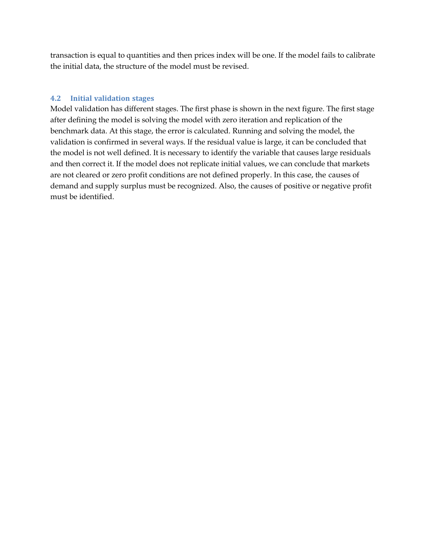transaction is equal to quantities and then prices index will be one. If the model fails to calibrate the initial data, the structure of the model must be revised.

## 4.2 Initial validation stages

Model validation has different stages. The first phase is shown in the next figure. The first stage after defining the model is solving the model with zero iteration and replication of the benchmark data. At this stage, the error is calculated. Running and solving the model, the validation is confirmed in several ways. If the residual value is large, it can be concluded that the model is not well defined. It is necessary to identify the variable that causes large residuals and then correct it. If the model does not replicate initial values, we can conclude that markets are not cleared or zero profit conditions are not defined properly. In this case, the causes of demand and supply surplus must be recognized. Also, the causes of positive or negative profit must be identified.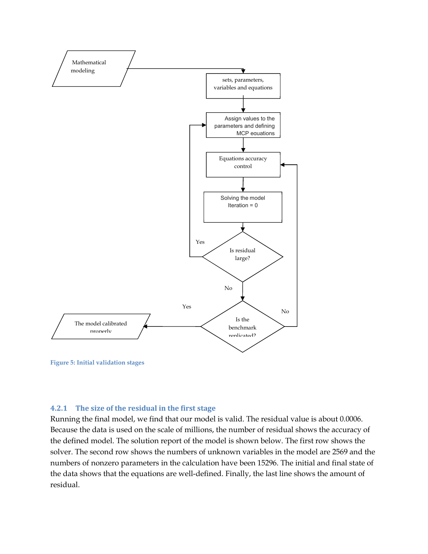

Figure 5: Initial validation stages

## 4.2.1 The size of the residual in the first stage

Running the final model, we find that our model is valid. The residual value is about 0.0006. Because the data is used on the scale of millions, the number of residual shows the accuracy of the defined model. The solution report of the model is shown below. The first row shows the solver. The second row shows the numbers of unknown variables in the model are 2569 and the numbers of nonzero parameters in the calculation have been 15296. The initial and final state of the data shows that the equations are well-defined. Finally, the last line shows the amount of residual.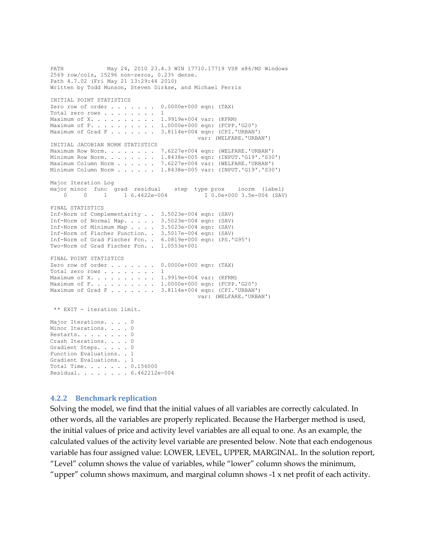PATH May 24, 2010 23.4.3 WIN 17710.17719 VS8 x86/MS Windows 2569 row/cols, 15296 non-zeros, 0.23% dense. Path 4.7.02 (Fri May 21 13:29:44 2010) Written by Todd Munson, Steven Dirkse, and Michael Ferris INITIAL POINT STATISTICS Zero row of order . . . . . . 0.0000e+000 eqn: (TAX) Total zero rows . . . . . . . . 1 Maximum of X. . . . . . . . . . 1.9919e+004 var: (KFRM) Maximum of F. . . . . . . . . . 1.0000e+000 eqn: (FCPP.'G20') Maximum of Grad F . . . . . . . 3.8114e+004 eqn: (CPI.'URBAN') var: (WELFARE.'URBAN')<br>INITIAL JACOBIAN NORM STATISTICS INITIAL JACOBIAN NORM STATISTICS Maximum Row Norm. . . . . . . . 7.6227e+004 eqn: (WELFARE.'URBAN') Minimum Row Norm. . . . . . . . 1.8438e-005 eqn: (INPUT.'G19'.'S30') Maximum Column Norm . . . . . . 7.6227e+004 var: (WELFARE.'URBAN') Minimum Column Norm . . . . . . 1.8438e-005 var: (INPUT.'G19'.'S30') Major Iteration Log major minor func grad residual step type prox inorm (label)<br>0 0 1 1 6.4622e-004 1 0.0e+000 3.5e-004 (SAV 0 0 1 1 6.4622e-004 I 0.0e+000 3.5e-004 (SAV) FINAL STATISTICS Inf-Norm of Complementarity . . 3.5023e-004 eqn: (SAV) Inf-Norm of Normal Map. . . . . 3.5023e-004 eqn: (SAV) Inf-Norm of Minimum Map . . . . 3.5023e-004 eqn: (SAV) Inf-Norm of Fischer Function. . 3.5017e-004 eqn: (SAV) Inf-Norm of Grad Fischer Fcn. . 6.0819e+000 eqn: (PS.'G95') Two-Norm of Grad Fischer Fcn. . 1.0553e+001 FINAL POINT STATISTICS Zero row of order . . . . . . 0.0000e+000 eqn: (TAX) Total zero rows . . . . . . . . 1 Maximum of X. . . . . . . . . . 1.9919e+004 var: (KFRM) Maximum of F. . . . . . . . . . 1.0000e+000 eqn: (FCPP.'G20') Maximum of Grad F . . . . . . . 3.8114e+004 eqn: (CPI.'URBAN') var: (WELFARE.'URBAN') \*\* EXIT - iteration limit. Major Iterations. . . . 0 Minor Iterations. . . . 0 Restarts. . . . . . . 0 Crash Iterations. . . . 0 Gradient Steps. . . . . 0 Function Evaluations. . 1 Gradient Evaluations. . 1 Total Time. . . . . . . 0.156000 Residual. . . . . . . . 6.462212e-004

#### 4.2.2 Benchmark replication

Solving the model, we find that the initial values of all variables are correctly calculated. In other words, all the variables are properly replicated. Because the Harberger method is used, the initial values of price and activity level variables are all equal to one. As an example, the calculated values of the activity level variable are presented below. Note that each endogenous variable has four assigned value: LOWER, LEVEL, UPPER, MARGINAL. In the solution report, "Level" column shows the value of variables, while "lower" column shows the minimum, "upper" column shows maximum, and marginal column shows -1 x net profit of each activity.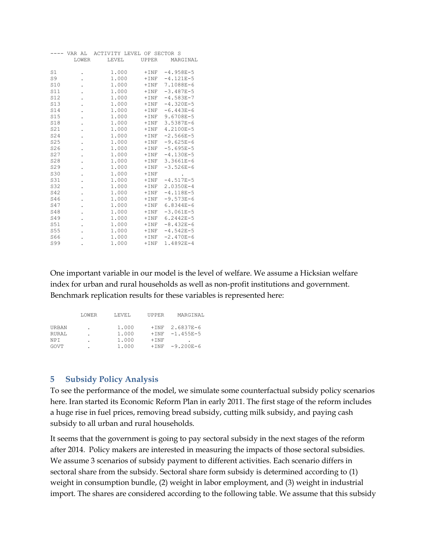|                 | VAR AL | ACTIVITY LEVEL OF SECTOR S |                         |               |
|-----------------|--------|----------------------------|-------------------------|---------------|
|                 | LOWER  | LEVEL                      | UPPER                   | MARGINAL      |
|                 |        |                            |                         |               |
| S1              |        | 1.000                      | $+$ INF                 | $-4.958E-5$   |
| S9              |        | 1,000                      | $+$ INF                 | $-4.121E-5$   |
| S10             |        | 1.000                      | $+{\small\texttt{INF}}$ | 7.1088E-6     |
| S11             |        | 1.000                      | $+$ INF                 | $-3.487E-5$   |
| S12             | ٠      | 1.000                      | $+$ INF                 | $-4.583E - 7$ |
| S13             |        | 1.000                      | $+$ INF                 | $-4.320E-5$   |
| S14             |        | 1.000                      | $+$ INF                 | $-6.443E-6$   |
| S15             |        | 1.000                      | $+$ INF                 | 9.6708E-5     |
| S18             |        | 1,000                      | $+$ INF                 | 3.5387E-6     |
| S21             |        | 1.000                      | $+$ INF                 | 4.2100E-5     |
| S24             |        | 1.000                      | $+$ INF                 | $-2.566E-5$   |
| S <sub>25</sub> |        | 1,000                      | $+$ INF                 | $-9.625E - 6$ |
| S26             |        | 1,000                      | $+$ INF                 | $-5.695E-5$   |
| S <sub>27</sub> |        | 1.000                      | $+$ INF                 | $-4.130E-5$   |
| S28             |        | 1,000                      | $+$ INF                 | $3.3661E - 6$ |
| S <sub>29</sub> |        | 1,000                      | $+$ INF                 | $-3.526E - 6$ |
| S30             |        | 1,000                      | $+$ INF                 |               |
| S31             |        | 1.000                      | $+$ INF                 | $-4.517E-5$   |
| S32             |        | 1.000                      | $+$ INF                 | 2.0350E-4     |
| S42             |        | 1.000                      | $+$ INF                 | $-4.118E-5$   |
| S46             |        | 1,000                      | $+$ INF                 | $-9.573E-6$   |
| S47             |        | 1,000                      | $+$ INF                 | $6.8344E-6$   |
| S48             |        | 1.000                      | $+$ INF                 | $-3.061E-5$   |
| S49             |        | 1.000                      | $+$ INF                 | $6.2442E - 5$ |
| S51             |        | 1.000                      | $+$ INF                 | $-8.432E-6$   |
| S55             |        | 1.000                      | $+$ INF                 | $-4.542E-5$   |
| S66             |        | 1.000                      | $+$ INF                 | $-2.470E-6$   |
| S99             |        | 1.000                      | $+$ INF                 | 1.4892E-4     |

One important variable in our model is the level of welfare. We assume a Hicksian welfare index for urban and rural households as well as non-profit institutions and government. Benchmark replication results for these variables is represented here:

|             | LOWER          | T.EVET. | <b>UPPER</b> | MARGINAL         |
|-------------|----------------|---------|--------------|------------------|
| URBAN       | $\blacksquare$ | 1,000   |              | $+INF$ 2.6837E-6 |
| RURAL       | ٠              | 1,000   | $+TNF$       | $-1.455E-5$      |
| NPT.        | ٠              | 1,000   | $+TNF$       |                  |
| <b>GOVT</b> | ٠              | 1,000   | $+TNF$       | $-9.200E - 6$    |

## 5 Subsidy Policy Analysis

To see the performance of the model, we simulate some counterfactual subsidy policy scenarios here. Iran started its Economic Reform Plan in early 2011. The first stage of the reform includes a huge rise in fuel prices, removing bread subsidy, cutting milk subsidy, and paying cash subsidy to all urban and rural households.

It seems that the government is going to pay sectoral subsidy in the next stages of the reform after 2014. Policy makers are interested in measuring the impacts of those sectoral subsidies. We assume 3 scenarios of subsidy payment to different activities. Each scenario differs in sectoral share from the subsidy. Sectoral share form subsidy is determined according to (1) weight in consumption bundle, (2) weight in labor employment, and (3) weight in industrial import. The shares are considered according to the following table. We assume that this subsidy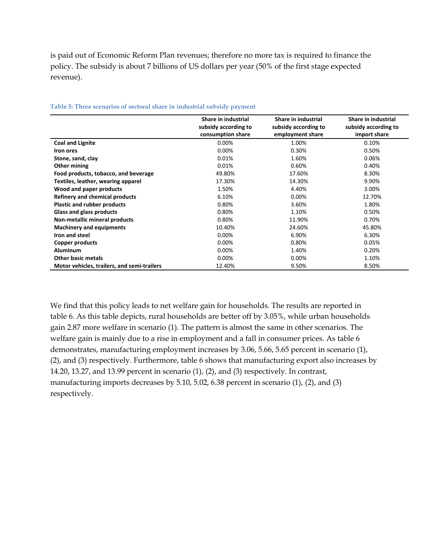is paid out of Economic Reform Plan revenues; therefore no more tax is required to finance the policy. The subsidy is about 7 billions of US dollars per year (50% of the first stage expected revenue).

|                                             | Share in industrial<br>subsidy according to | Share in industrial<br>subsidy according to | Share in industrial<br>subsidy according to |
|---------------------------------------------|---------------------------------------------|---------------------------------------------|---------------------------------------------|
|                                             | consumption share                           | employment share                            | import share                                |
| <b>Coal and Lignite</b>                     | 0.00%                                       | 1.00%                                       | 0.10%                                       |
| Iron ores                                   | 0.00%                                       | 0.30%                                       | 0.50%                                       |
| Stone, sand, clay                           | 0.01%                                       | 1.60%                                       | 0.06%                                       |
| Other mining                                | 0.01%                                       | 0.60%                                       | 0.40%                                       |
| Food products, tobacco, and beverage        | 49.80%                                      | 17.60%                                      | 8.30%                                       |
| Textiles, leather, wearing apparel          | 17.30%                                      | 14.30%                                      | 9.90%                                       |
| Wood and paper products                     | 1.50%                                       | 4.40%                                       | 3.00%                                       |
| <b>Refinery and chemical products</b>       | 6.10%                                       | 0.00%                                       | 12.70%                                      |
| <b>Plastic and rubber products</b>          | 0.80%                                       | 3.60%                                       | 1.80%                                       |
| Glass and glass products                    | 0.80%                                       | 1.10%                                       | 0.50%                                       |
| Non-metallic mineral products               | 0.80%                                       | 11.90%                                      | 0.70%                                       |
| <b>Machinery and equipments</b>             | 10.40%                                      | 24.60%                                      | 45.80%                                      |
| Iron and steel                              | 0.00%                                       | 6.90%                                       | 6.30%                                       |
| Copper products                             | 0.00%                                       | 0.80%                                       | 0.05%                                       |
| <b>Aluminum</b>                             | 0.00%                                       | 1.40%                                       | 0.20%                                       |
| <b>Other basic metals</b>                   | $0.00\%$                                    | 0.00%                                       | 1.10%                                       |
| Motor vehicles, trailers, and semi-trailers | 12.40%                                      | 9.50%                                       | 8.50%                                       |

#### Table 5: Three scenarios of sectoral share in industrial subsidy payment

We find that this policy leads to net welfare gain for households. The results are reported in table 6. As this table depicts, rural households are better off by 3.05%, while urban households gain 2.87 more welfare in scenario (1). The pattern is almost the same in other scenarios. The welfare gain is mainly due to a rise in employment and a fall in consumer prices. As table 6 demonstrates, manufacturing employment increases by 3.06, 5.66, 5.65 percent in scenario (1), (2), and (3) respectively. Furthermore, table 6 shows that manufacturing export also increases by 14.20, 13.27, and 13.99 percent in scenario (1), (2), and (3) respectively. In contrast, manufacturing imports decreases by 5.10, 5.02, 6.38 percent in scenario (1), (2), and (3) respectively.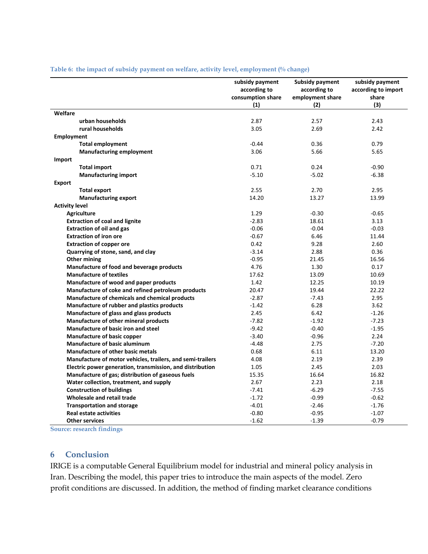|                                                            | subsidy payment<br>according to<br>consumption share<br>(1) | <b>Subsidy payment</b><br>according to<br>employment share<br>(2) | subsidy payment<br>according to import<br>share<br>(3) |
|------------------------------------------------------------|-------------------------------------------------------------|-------------------------------------------------------------------|--------------------------------------------------------|
| Welfare                                                    |                                                             |                                                                   |                                                        |
| urban households                                           | 2.87                                                        | 2.57                                                              | 2.43                                                   |
| rural households                                           | 3.05                                                        | 2.69                                                              | 2.42                                                   |
| <b>Employment</b>                                          |                                                             |                                                                   |                                                        |
| <b>Total employment</b>                                    | $-0.44$                                                     | 0.36                                                              | 0.79                                                   |
| <b>Manufacturing employment</b>                            | 3.06                                                        | 5.66                                                              | 5.65                                                   |
| <b>Import</b>                                              |                                                             |                                                                   |                                                        |
| <b>Total import</b>                                        | 0.71                                                        | 0.24                                                              | $-0.90$                                                |
| <b>Manufacturing import</b>                                | $-5.10$                                                     | $-5.02$                                                           | $-6.38$                                                |
| <b>Export</b>                                              |                                                             |                                                                   |                                                        |
| <b>Total export</b>                                        | 2.55                                                        | 2.70                                                              | 2.95                                                   |
| <b>Manufacturing export</b>                                | 14.20                                                       | 13.27                                                             | 13.99                                                  |
| <b>Activity level</b>                                      |                                                             |                                                                   |                                                        |
| <b>Agriculture</b>                                         | 1.29                                                        | $-0.30$                                                           | $-0.65$                                                |
| <b>Extraction of coal and lignite</b>                      | $-2.83$                                                     | 18.61                                                             | 3.13                                                   |
| <b>Extraction of oil and gas</b>                           | $-0.06$                                                     | $-0.04$                                                           | $-0.03$                                                |
| <b>Extraction of iron ore</b>                              | $-0.67$                                                     | 6.46                                                              | 11.44                                                  |
| <b>Extraction of copper ore</b>                            | 0.42                                                        | 9.28                                                              | 2.60                                                   |
| Quarrying of stone, sand, and clay                         | $-3.14$                                                     | 2.88                                                              | 0.36                                                   |
| Other mining                                               | $-0.95$                                                     | 21.45                                                             | 16.56                                                  |
| Manufacture of food and beverage products                  | 4.76                                                        | 1.30                                                              | 0.17                                                   |
| <b>Manufacture of textiles</b>                             | 17.62                                                       | 13.09                                                             | 10.69                                                  |
| Manufacture of wood and paper products                     | 1.42                                                        | 12.25                                                             | 10.19                                                  |
| Manufacture of coke and refined petroleum products         | 20.47                                                       | 19.44                                                             | 22.22                                                  |
| Manufacture of chemicals and chemical products             | $-2.87$                                                     | $-7.43$                                                           | 2.95                                                   |
| Manufacture of rubber and plastics products                | $-1.42$                                                     | 6.28                                                              | 3.62                                                   |
| Manufacture of glass and glass products                    | 2.45                                                        | 6.42                                                              | $-1.26$                                                |
| Manufacture of other mineral products                      | $-7.82$                                                     | $-1.92$                                                           | $-7.23$                                                |
| Manufacture of basic iron and steel                        | $-9.42$                                                     | $-0.40$                                                           | $-1.95$                                                |
| <b>Manufacture of basic copper</b>                         | $-3.40$                                                     | $-0.96$                                                           | 2.24                                                   |
| <b>Manufacture of basic aluminum</b>                       | $-4.48$                                                     | 2.75                                                              | $-7.20$                                                |
| <b>Manufacture of other basic metals</b>                   | 0.68                                                        | 6.11                                                              | 13.20                                                  |
| Manufacture of motor vehicles, trailers, and semi-trailers | 4.08                                                        | 2.19                                                              | 2.39                                                   |
| Electric power generation, transmission, and distribution  | 1.05                                                        | 2.45                                                              | 2.03                                                   |
| Manufacture of gas; distribution of gaseous fuels          | 15.35                                                       | 16.64                                                             | 16.82                                                  |
| Water collection, treatment, and supply                    | 2.67                                                        | 2.23                                                              | 2.18                                                   |
| <b>Construction of buildings</b>                           | $-7.41$                                                     | $-6.29$                                                           | $-7.55$                                                |
| Wholesale and retail trade                                 | $-1.72$                                                     | $-0.99$                                                           | $-0.62$                                                |
| <b>Transportation and storage</b>                          | $-4.01$                                                     | $-2.46$                                                           | $-1.76$                                                |
| <b>Real estate activities</b>                              | $-0.80$                                                     | $-0.95$                                                           | $-1.07$                                                |
| <b>Other services</b>                                      | $-1.62$                                                     | $-1.39$                                                           | $-0.79$                                                |

Table 6: the impact of subsidy payment on welfare, activity level, employment (% change)

Source: research findings

## 6 Conclusion

IRIGE is a computable General Equilibrium model for industrial and mineral policy analysis in Iran. Describing the model, this paper tries to introduce the main aspects of the model. Zero profit conditions are discussed. In addition, the method of finding market clearance conditions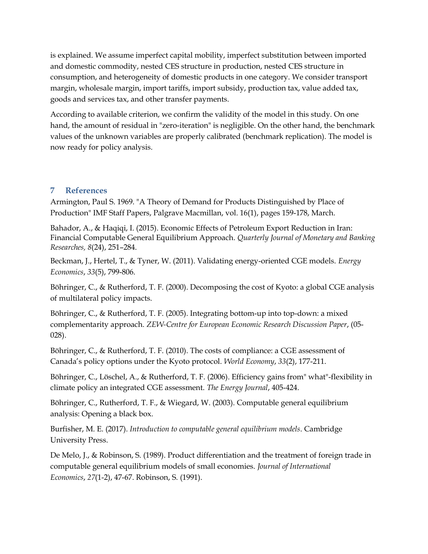is explained. We assume imperfect capital mobility, imperfect substitution between imported and domestic commodity, nested CES structure in production, nested CES structure in consumption, and heterogeneity of domestic products in one category. We consider transport margin, wholesale margin, import tariffs, import subsidy, production tax, value added tax, goods and services tax, and other transfer payments.

According to available criterion, we confirm the validity of the model in this study. On one hand, the amount of residual in "zero-iteration" is negligible. On the other hand, the benchmark values of the unknown variables are properly calibrated (benchmark replication). The model is now ready for policy analysis.

## 7 References

Armington, Paul S. 1969. "A Theory of Demand for Products Distinguished by Place of Production" IMF Staff Papers, Palgrave Macmillan, vol. 16(1), pages 159-178, March.

Bahador, A., & Haqiqi, I. (2015). Economic Effects of Petroleum Export Reduction in Iran: Financial Computable General Equilibrium Approach. Quarterly Journal of Monetary and Banking Researches, 8(24), 251–284.

Beckman, J., Hertel, T., & Tyner, W. (2011). Validating energy-oriented CGE models. Energy Economics, 33(5), 799-806.

Böhringer, C., & Rutherford, T. F. (2000). Decomposing the cost of Kyoto: a global CGE analysis of multilateral policy impacts.

Böhringer, C., & Rutherford, T. F. (2005). Integrating bottom-up into top-down: a mixed complementarity approach. ZEW-Centre for European Economic Research Discussion Paper, (05- 028).

Böhringer, C., & Rutherford, T. F. (2010). The costs of compliance: a CGE assessment of Canada's policy options under the Kyoto protocol. World Economy, 33(2), 177-211.

Böhringer, C., Löschel, A., & Rutherford, T. F. (2006). Efficiency gains from" what"-flexibility in climate policy an integrated CGE assessment. The Energy Journal, 405-424.

Böhringer, C., Rutherford, T. F., & Wiegard, W. (2003). Computable general equilibrium analysis: Opening a black box.

Burfisher, M. E. (2017). Introduction to computable general equilibrium models. Cambridge University Press.

De Melo, J., & Robinson, S. (1989). Product differentiation and the treatment of foreign trade in computable general equilibrium models of small economies. Journal of International Economics, 27(1-2), 47-67. Robinson, S. (1991).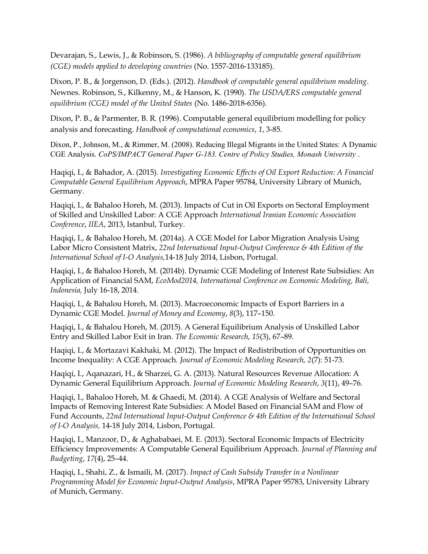Devarajan, S., Lewis, J., & Robinson, S. (1986). A bibliography of computable general equilibrium (CGE) models applied to developing countries (No. 1557-2016-133185).

Dixon, P. B., & Jorgenson, D. (Eds.). (2012). Handbook of computable general equilibrium modeling. Newnes. Robinson, S., Kilkenny, M., & Hanson, K. (1990). The USDA/ERS computable general equilibrium (CGE) model of the United States (No. 1486-2018-6356).

Dixon, P. B., & Parmenter, B. R. (1996). Computable general equilibrium modelling for policy analysis and forecasting. Handbook of computational economics, 1, 3-85.

Dixon, P., Johnson, M., & Rimmer, M. (2008). Reducing Illegal Migrants in the United States: A Dynamic CGE Analysis. CoPS/IMPACT General Paper G-183. Centre of Policy Studies, Monash University .

Haqiqi, I., & Bahador, A. (2015). Investigating Economic Effects of Oil Export Reduction: A Financial Computable General Equilibrium Approach, MPRA Paper 95784, University Library of Munich, Germany.

Haqiqi, I., & Bahaloo Horeh, M. (2013). Impacts of Cut in Oil Exports on Sectoral Employment of Skilled and Unskilled Labor: A CGE Approach International Iranian Economic Association Conference, IIEA, 2013, Istanbul, Turkey.

Haqiqi, I., & Bahaloo Horeh, M. (2014a). A CGE Model for Labor Migration Analysis Using Labor Micro Consistent Matrix, 22nd International Input-Output Conference & 4th Edition of the International School of I-O Analysis,14-18 July 2014, Lisbon, Portugal.

Haqiqi, I., & Bahaloo Horeh, M. (2014b). Dynamic CGE Modeling of Interest Rate Subsidies: An Application of Financial SAM, EcoMod2014, International Conference on Economic Modeling, Bali, Indonesia, July 16-18, 2014.

Haqiqi, I., & Bahalou Horeh, M. (2013). Macroeconomic Impacts of Export Barriers in a Dynamic CGE Model. Journal of Money and Economy, 8(3), 117–150.

Haqiqi, I., & Bahalou Horeh, M. (2015). A General Equilibrium Analysis of Unskilled Labor Entry and Skilled Labor Exit in Iran. The Economic Research, 15(3), 67–89.

Haqiqi, I., & Mortazavi Kakhaki, M. (2012). The Impact of Redistribution of Opportunities on Income Inequality: A CGE Approach. Journal of Economic Modeling Research, 2(7): 51-73.

Haqiqi, I., Aqanazari, H., & Sharzei, G. A. (2013). Natural Resources Revenue Allocation: A Dynamic General Equilibrium Approach. Journal of Economic Modeling Research, 3(11), 49–76.

Haqiqi, I., Bahaloo Horeh, M. & Ghaedi, M. (2014). A CGE Analysis of Welfare and Sectoral Impacts of Removing Interest Rate Subsidies: A Model Based on Financial SAM and Flow of Fund Accounts, 22nd International Input-Output Conference & 4th Edition of the International School of I-O Analysis, 14-18 July 2014, Lisbon, Portugal.

Haqiqi, I., Manzoor, D., & Aghababaei, M. E. (2013). Sectoral Economic Impacts of Electricity Efficiency Improvements: A Computable General Equilibrium Approach. Journal of Planning and Budgeting, 17(4), 25–44.

Haqiqi, I., Shahi, Z., & Ismaili, M. (2017). Impact of Cash Subsidy Transfer in a Nonlinear Programming Model for Economic Input-Output Analysis, MPRA Paper 95783, University Library of Munich, Germany.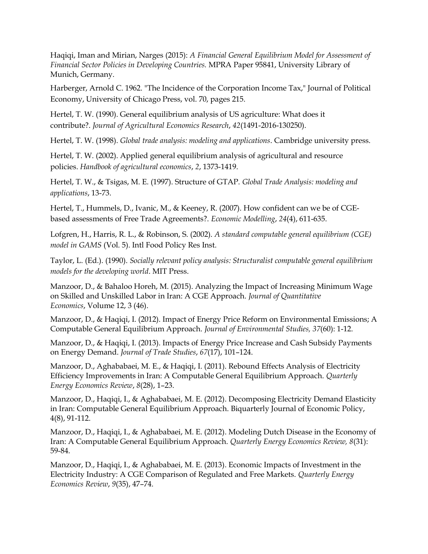Haqiqi, Iman and Mirian, Narges (2015): A Financial General Equilibrium Model for Assessment of Financial Sector Policies in Developing Countries. MPRA Paper 95841, University Library of Munich, Germany.

Harberger, Arnold C. 1962. "The Incidence of the Corporation Income Tax," Journal of Political Economy, University of Chicago Press, vol. 70, pages 215.

Hertel, T. W. (1990). General equilibrium analysis of US agriculture: What does it contribute?. Journal of Agricultural Economics Research, 42(1491-2016-130250).

Hertel, T. W. (1998). Global trade analysis: modeling and applications. Cambridge university press.

Hertel, T. W. (2002). Applied general equilibrium analysis of agricultural and resource policies. Handbook of agricultural economics, 2, 1373-1419.

Hertel, T. W., & Tsigas, M. E. (1997). Structure of GTAP. Global Trade Analysis: modeling and applications, 13-73.

Hertel, T., Hummels, D., Ivanic, M., & Keeney, R. (2007). How confident can we be of CGEbased assessments of Free Trade Agreements?. Economic Modelling, 24(4), 611-635.

Lofgren, H., Harris, R. L., & Robinson, S. (2002). A standard computable general equilibrium (CGE) model in GAMS (Vol. 5). Intl Food Policy Res Inst.

Taylor, L. (Ed.). (1990). Socially relevant policy analysis: Structuralist computable general equilibrium models for the developing world. MIT Press.

Manzoor, D., & Bahaloo Horeh, M. (2015). Analyzing the Impact of Increasing Minimum Wage on Skilled and Unskilled Labor in Iran: A CGE Approach. Journal of Quantitative Economics, Volume 12, 3 (46).

Manzoor, D., & Haqiqi, I. (2012). Impact of Energy Price Reform on Environmental Emissions; A Computable General Equilibrium Approach. Journal of Environmental Studies, 37(60): 1-12.

Manzoor, D., & Haqiqi, I. (2013). Impacts of Energy Price Increase and Cash Subsidy Payments on Energy Demand. Journal of Trade Studies, 67(17), 101–124.

Manzoor, D., Aghababaei, M. E., & Haqiqi, I. (2011). Rebound Effects Analysis of Electricity Efficiency Improvements in Iran: A Computable General Equilibrium Approach. Quarterly Energy Economics Review, 8(28), 1–23.

Manzoor, D., Haqiqi, I., & Aghababaei, M. E. (2012). Decomposing Electricity Demand Elasticity in Iran: Computable General Equilibrium Approach. Biquarterly Journal of Economic Policy, 4(8), 91-112.

Manzoor, D., Haqiqi, I., & Aghababaei, M. E. (2012). Modeling Dutch Disease in the Economy of Iran: A Computable General Equilibrium Approach. Quarterly Energy Economics Review, 8(31): 59-84.

Manzoor, D., Haqiqi, I., & Aghababaei, M. E. (2013). Economic Impacts of Investment in the Electricity Industry: A CGE Comparison of Regulated and Free Markets. Quarterly Energy Economics Review, 9(35), 47–74.